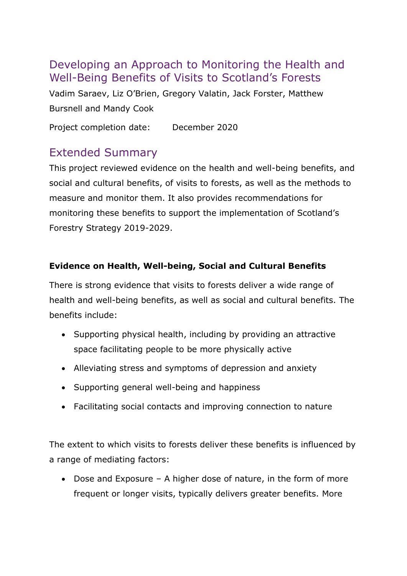## Developing an Approach to Monitoring the Health and Well-Being Benefits of Visits to Scotland's Forests

Vadim Saraev, Liz O'Brien, Gregory Valatin, Jack Forster, Matthew Bursnell and Mandy Cook

Project completion date: December 2020

# Extended Summary

This project reviewed evidence on the health and well-being benefits, and social and cultural benefits, of visits to forests, as well as the methods to measure and monitor them. It also provides recommendations for monitoring these benefits to support the implementation of Scotland's Forestry Strategy 2019-2029.

### **Evidence on Health, Well-being, Social and Cultural Benefits**

There is strong evidence that visits to forests deliver a wide range of health and well-being benefits, as well as social and cultural benefits. The benefits include:

- Supporting physical health, including by providing an attractive space facilitating people to be more physically active
- Alleviating stress and symptoms of depression and anxiety
- Supporting general well-being and happiness
- Facilitating social contacts and improving connection to nature

The extent to which visits to forests deliver these benefits is influenced by a range of mediating factors:

• Dose and Exposure – A higher dose of nature, in the form of more frequent or longer visits, typically delivers greater benefits. More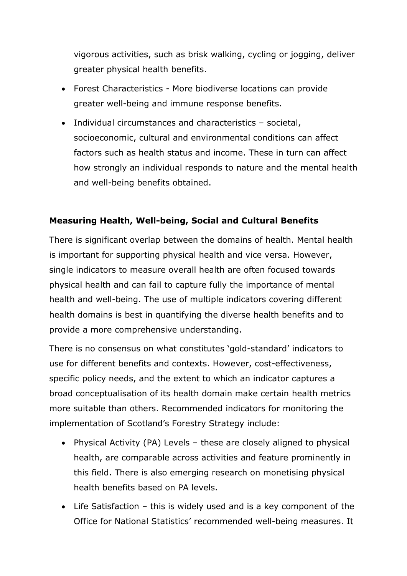vigorous activities, such as brisk walking, cycling or jogging, deliver greater physical health benefits.

- Forest Characteristics More biodiverse locations can provide greater well-being and immune response benefits.
- Individual circumstances and characteristics societal, socioeconomic, cultural and environmental conditions can affect factors such as health status and income. These in turn can affect how strongly an individual responds to nature and the mental health and well-being benefits obtained.

### **Measuring Health, Well-being, Social and Cultural Benefits**

There is significant overlap between the domains of health. Mental health is important for supporting physical health and vice versa. However, single indicators to measure overall health are often focused towards physical health and can fail to capture fully the importance of mental health and well-being. The use of multiple indicators covering different health domains is best in quantifying the diverse health benefits and to provide a more comprehensive understanding.

There is no consensus on what constitutes 'gold-standard' indicators to use for different benefits and contexts. However, cost-effectiveness, specific policy needs, and the extent to which an indicator captures a broad conceptualisation of its health domain make certain health metrics more suitable than others. Recommended indicators for monitoring the implementation of Scotland's Forestry Strategy include:

- Physical Activity (PA) Levels these are closely aligned to physical health, are comparable across activities and feature prominently in this field. There is also emerging research on monetising physical health benefits based on PA levels.
- Life Satisfaction this is widely used and is a key component of the Office for National Statistics' recommended well-being measures. It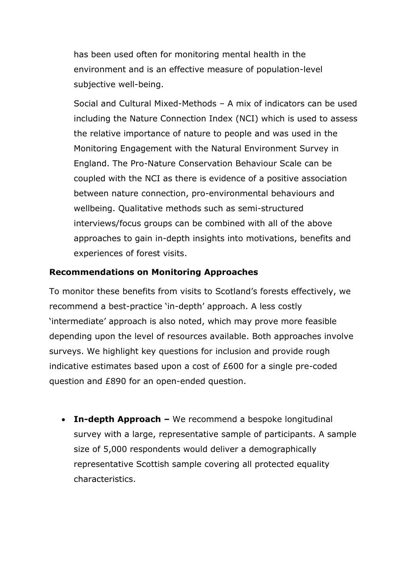has been used often for monitoring mental health in the environment and is an effective measure of population-level subjective well-being.

Social and Cultural Mixed-Methods – A mix of indicators can be used including the Nature Connection Index (NCI) which is used to assess the relative importance of nature to people and was used in the Monitoring Engagement with the Natural Environment Survey in England. The Pro-Nature Conservation Behaviour Scale can be coupled with the NCI as there is evidence of a positive association between nature connection, pro-environmental behaviours and wellbeing. Qualitative methods such as semi-structured interviews/focus groups can be combined with all of the above approaches to gain in-depth insights into motivations, benefits and experiences of forest visits.

#### **Recommendations on Monitoring Approaches**

To monitor these benefits from visits to Scotland's forests effectively, we recommend a best-practice 'in-depth' approach. A less costly 'intermediate' approach is also noted, which may prove more feasible depending upon the level of resources available. Both approaches involve surveys. We highlight key questions for inclusion and provide rough indicative estimates based upon a cost of £600 for a single pre-coded question and £890 for an open-ended question.

• **In-depth Approach –** We recommend a bespoke longitudinal survey with a large, representative sample of participants. A sample size of 5,000 respondents would deliver a demographically representative Scottish sample covering all protected equality characteristics.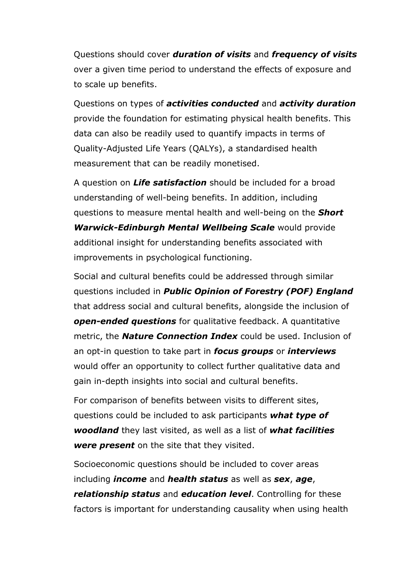Questions should cover *duration of visits* and *frequency of visits* over a given time period to understand the effects of exposure and to scale up benefits.

Questions on types of *activities conducted* and *activity duration* provide the foundation for estimating physical health benefits. This data can also be readily used to quantify impacts in terms of Quality-Adjusted Life Years (QALYs), a standardised health measurement that can be readily monetised.

A question on *Life satisfaction* should be included for a broad understanding of well-being benefits. In addition, including questions to measure mental health and well-being on the *Short Warwick-Edinburgh Mental Wellbeing Scale* would provide additional insight for understanding benefits associated with improvements in psychological functioning.

Social and cultural benefits could be addressed through similar questions included in *Public Opinion of Forestry (POF) England* that address social and cultural benefits, alongside the inclusion of *open-ended questions* for qualitative feedback. A quantitative metric, the *Nature Connection Index* could be used. Inclusion of an opt-in question to take part in *focus groups* or *interviews*  would offer an opportunity to collect further qualitative data and gain in-depth insights into social and cultural benefits.

For comparison of benefits between visits to different sites, questions could be included to ask participants *what type of woodland* they last visited, as well as a list of *what facilities were present* on the site that they visited.

Socioeconomic questions should be included to cover areas including *income* and *health status* as well as *sex*, *age*, *relationship status* and *education level*. Controlling for these factors is important for understanding causality when using health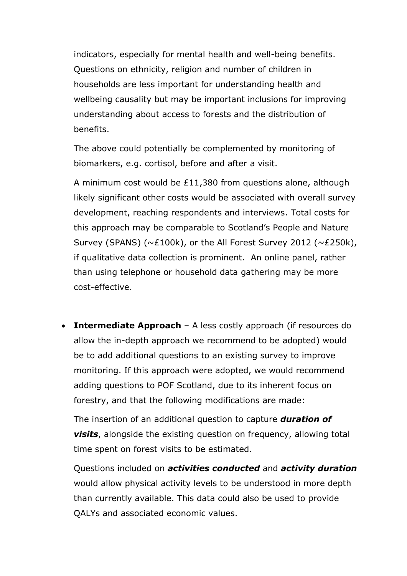indicators, especially for mental health and well-being benefits. Questions on ethnicity, religion and number of children in households are less important for understanding health and wellbeing causality but may be important inclusions for improving understanding about access to forests and the distribution of benefits.

The above could potentially be complemented by monitoring of biomarkers, e.g. cortisol, before and after a visit.

A minimum cost would be £11,380 from questions alone, although likely significant other costs would be associated with overall survey development, reaching respondents and interviews. Total costs for this approach may be comparable to [Scotland's People and Nature](https://www.nature.scot/snh-research-report-1062-scotlands-people-and-nature-survey-2017-18-outdoor-recreation-and-health)  [Survey](https://www.nature.scot/snh-research-report-1062-scotlands-people-and-nature-survey-2017-18-outdoor-recreation-and-health) (SPANS) (~£100k), or the All Forest Survey 2012 (~£250k), if qualitative data collection is prominent. An online panel, rather than using telephone or household data gathering may be more cost-effective.

• **Intermediate Approach** – A less costly approach (if resources do allow the in-depth approach we recommend to be adopted) would be to add additional questions to an existing survey to improve monitoring. If this approach were adopted, we would recommend adding questions to POF Scotland, due to its inherent focus on forestry, and that the following modifications are made:

The insertion of an additional question to capture *duration of visits*, alongside the existing question on frequency, allowing total time spent on forest visits to be estimated.

Questions included on *activities conducted* and *activity duration* would allow physical activity levels to be understood in more depth than currently available. This data could also be used to provide QALYs and associated economic values.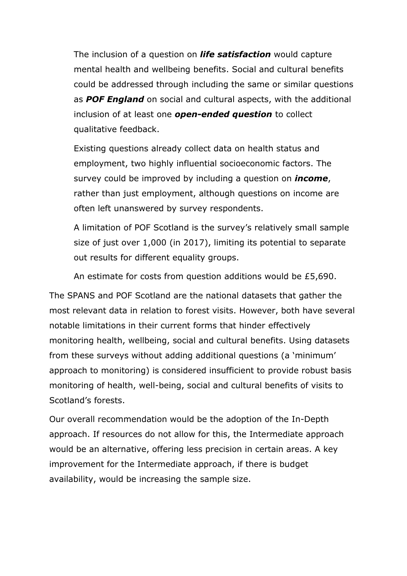The inclusion of a question on *life satisfaction* would capture mental health and wellbeing benefits. Social and cultural benefits could be addressed through including the same or similar questions as *POF England* on social and cultural aspects, with the additional inclusion of at least one *open-ended question* to collect qualitative feedback.

Existing questions already collect data on health status and employment, two highly influential socioeconomic factors. The survey could be improved by including a question on *income*, rather than just employment, although questions on income are often left unanswered by survey respondents.

A limitation of POF Scotland is the survey's relatively small sample size of just over 1,000 (in 2017), limiting its potential to separate out results for different equality groups.

An estimate for costs from question additions would be £5,690.

The SPANS and POF Scotland are the national datasets that gather the most relevant data in relation to forest visits. However, both have several notable limitations in their current forms that hinder effectively monitoring health, wellbeing, social and cultural benefits. Using datasets from these surveys without adding additional questions (a 'minimum' approach to monitoring) is considered insufficient to provide robust basis monitoring of health, well-being, social and cultural benefits of visits to Scotland's forests.

Our overall recommendation would be the adoption of the In-Depth approach. If resources do not allow for this, the Intermediate approach would be an alternative, offering less precision in certain areas. A key improvement for the Intermediate approach, if there is budget availability, would be increasing the sample size.